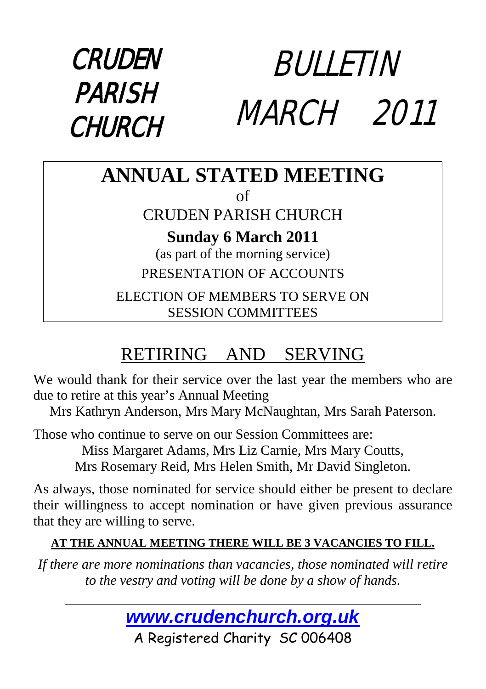#### CRUDEN PARISH **CHURCH** BULLETIN MARCH 2011

#### **ANNUAL STATED MEETING** of

#### CRUDEN PARISH CHURCH

**Sunday 6 March 2011**

(as part of the morning service) PRESENTATION OF ACCOUNTS

ELECTION OF MEMBERS TO SERVE ON SESSION COMMITTEES

### RETIRING AND SERVING

We would thank for their service over the last year the members who are due to retire at this year's Annual Meeting

Mrs Kathryn Anderson, Mrs Mary McNaughtan, Mrs Sarah Paterson.

Those who continue to serve on our Session Committees are:

Miss Margaret Adams, Mrs Liz Carnie, Mrs Mary Coutts,

Mrs Rosemary Reid, Mrs Helen Smith, Mr David Singleton.

As always, those nominated for service should either be present to declare their willingness to accept nomination or have given previous assurance that they are willing to serve.

#### **AT THE ANNUAL MEETING THERE WILL BE 3 VACANCIES TO FILL.**

*If there are more nominations than vacancies, those nominated will retire to the vestry and voting will be done by a show of hands.*



A Registered Charity SC 006408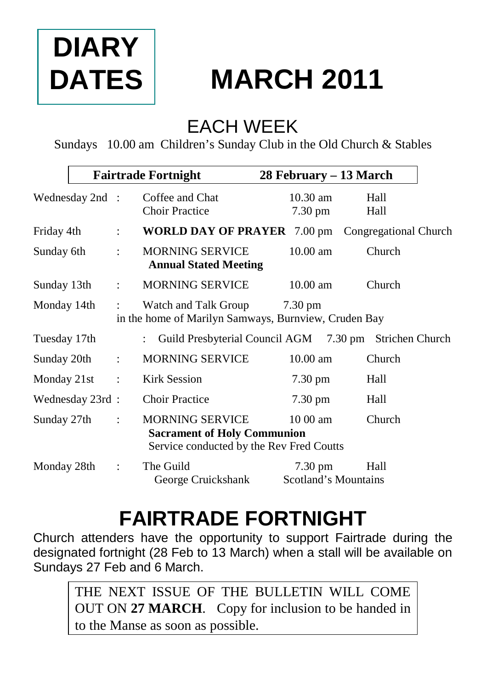## **DIARY DATES**

### **MARCH 2011**

### EACH WEEK

Sundays 10.00 am Children's Sunday Club in the Old Church & Stables

|                 |                | <b>Fairtrade Fortnight</b>                                                                               | 28 February – 13 March                                 |              |
|-----------------|----------------|----------------------------------------------------------------------------------------------------------|--------------------------------------------------------|--------------|
| Wednesday 2nd : |                | Coffee and Chat<br><b>Choir Practice</b>                                                                 | $10.30$ am<br>7.30 pm                                  | Hall<br>Hall |
| Friday 4th      | $\ddot{\cdot}$ | <b>WORLD DAY OF PRAYER</b> 7.00 pm Congregational Church                                                 |                                                        |              |
| Sunday 6th      | ÷              | <b>MORNING SERVICE</b><br><b>Annual Stated Meeting</b>                                                   | $10.00 \text{ am}$                                     | Church       |
| Sunday 13th     | $\ddot{\cdot}$ | <b>MORNING SERVICE</b>                                                                                   | $10.00$ am                                             | Church       |
| Monday 14th     | $\ddot{\cdot}$ | Watch and Talk Group<br>in the home of Marilyn Samways, Burnview, Cruden Bay                             | $7.30 \text{ pm}$                                      |              |
| Tuesday 17th    |                |                                                                                                          | Guild Presbyterial Council AGM 7.30 pm Strichen Church |              |
| Sunday 20th     | $\mathbb{R}^2$ | <b>MORNING SERVICE</b>                                                                                   | $10.00$ am                                             | Church       |
| Monday 21st     | $\ddot{\cdot}$ | <b>Kirk Session</b>                                                                                      | $7.30 \text{ pm}$                                      | Hall         |
| Wednesday 23rd: |                | <b>Choir Practice</b>                                                                                    | 7.30 pm                                                | Hall         |
| Sunday 27th     | $\ddot{\cdot}$ | <b>MORNING SERVICE</b><br><b>Sacrament of Holy Communion</b><br>Service conducted by the Rev Fred Coutts | $1000$ am                                              | Church       |
| Monday 28th     | $\ddot{\cdot}$ | The Guild<br>George Cruickshank                                                                          | $7.30 \text{ pm}$<br>Scotland's Mountains              | Hall         |

### **FAIRTRADE FORTNIGHT**

Church attenders have the opportunity to support Fairtrade during the designated fortnight (28 Feb to 13 March) when a stall will be available on Sundays 27 Feb and 6 March.

THE NEXT ISSUE OF THE BULLETIN WILL COME OUT ON **27 MARCH**. Copy for inclusion to be handed in to the Manse as soon as possible.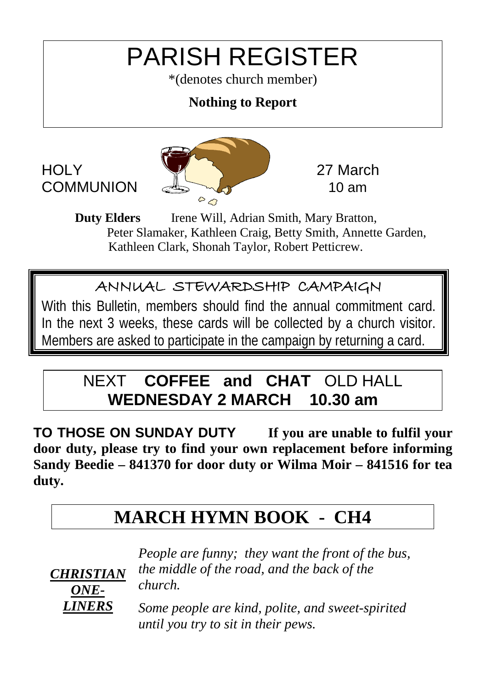### PARISH REGISTER

\*(denotes church member)

#### **Nothing to Report**



**Duty Elders** Irene Will, Adrian Smith, Mary Bratton, Peter Slamaker, Kathleen Craig, Betty Smith, Annette Garden, Kathleen Clark, Shonah Taylor, Robert Petticrew.

#### ANNUAL STEWARDSHIP CAMPAIGN

With this Bulletin, members should find the annual commitment card. In the next 3 weeks, these cards will be collected by a church visitor. Members are asked to participate in the campaign by returning a card.

#### NEXT **COFFEE and CHAT** OLD HALL **WEDNESDAY 2 MARCH 10.30 am**

**TO THOSE ON SUNDAY DUTY If you are unable to fulfil your door duty, please try to find your own replacement before informing Sandy Beedie – 841370 for door duty or Wilma Moir – 841516 for tea duty.**

#### **MARCH HYMN BOOK - CH4**



*People are funny; they want the front of the bus, the middle of the road, and the back of the church.*

*Some people are kind, polite, and sweet-spirited until you try to sit in their pews.*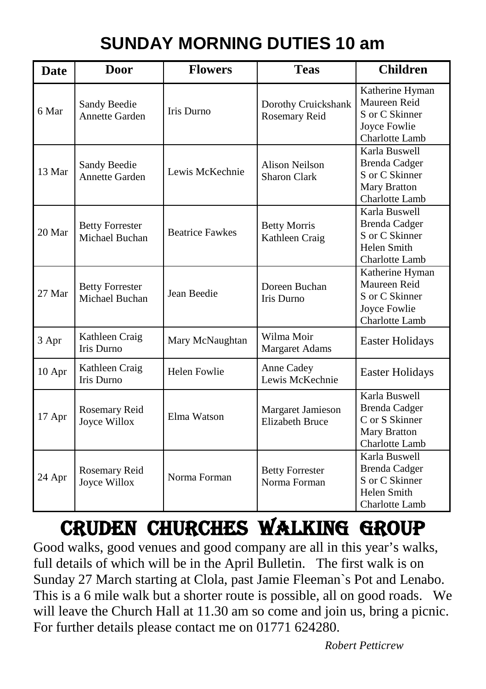### **SUNDAY MORNING DUTIES 10 am**

| Date   | Door                                     | <b>Flowers</b>         | <b>Teas</b>                                 | <b>Children</b>                                                                                  |
|--------|------------------------------------------|------------------------|---------------------------------------------|--------------------------------------------------------------------------------------------------|
| 6 Mar  | Sandy Beedie<br>Annette Garden           | Iris Durno             | Dorothy Cruickshank<br>Rosemary Reid        | Katherine Hyman<br>Maureen Reid<br>S or C Skinner<br>Joyce Fowlie<br>Charlotte Lamb              |
| 13 Mar | Sandy Beedie<br>Annette Garden           | Lewis McKechnie        | Alison Neilson<br>Sharon Clark              | Karla Buswell<br><b>Brenda Cadger</b><br>S or C Skinner<br>Mary Bratton<br>Charlotte Lamb        |
| 20 Mar | <b>Betty Forrester</b><br>Michael Buchan | <b>Beatrice Fawkes</b> | <b>Betty Morris</b><br>Kathleen Craig       | Karla Buswell<br><b>Brenda Cadger</b><br>S or C Skinner<br>Helen Smith<br>Charlotte Lamb         |
| 27 Mar | <b>Betty Forrester</b><br>Michael Buchan | Jean Beedie            | Doreen Buchan<br>Iris Durno                 | Katherine Hyman<br>Maureen Reid<br>S or C Skinner<br>Joyce Fowlie<br>Charlotte Lamb              |
| 3 Apr  | Kathleen Craig<br>Iris Durno             | Mary McNaughtan        | Wilma Moir<br><b>Margaret Adams</b>         | Easter Holidays                                                                                  |
| 10 Apr | Kathleen Craig<br><b>Iris Durno</b>      | Helen Fowlie           | Anne Cadey<br>Lewis McKechnie               | Easter Holidays                                                                                  |
| 17 Apr | Rosemary Reid<br>Joyce Willox            | Elma Watson            | Margaret Jamieson<br><b>Elizabeth Bruce</b> | Karla Buswell<br><b>Brenda Cadger</b><br>C or S Skinner<br><b>Mary Bratton</b><br>Charlotte Lamb |
| 24 Apr | Rosemary Reid<br>Joyce Willox            | Norma Forman           | <b>Betty Forrester</b><br>Norma Forman      | Karla Buswell<br><b>Brenda Cadger</b><br>S or C Skinner<br>Helen Smith<br>Charlotte Lamb         |

### Cruden CHURCHes WALKing group

Good walks, good venues and good company are all in this year's walks, full details of which will be in the April Bulletin. The first walk is on Sunday 27 March starting at Clola, past Jamie Fleeman`s Pot and Lenabo. This is a 6 mile walk but a shorter route is possible, all on good roads. We will leave the Church Hall at 11.30 am so come and join us, bring a picnic. For further details please contact me on 01771 624280.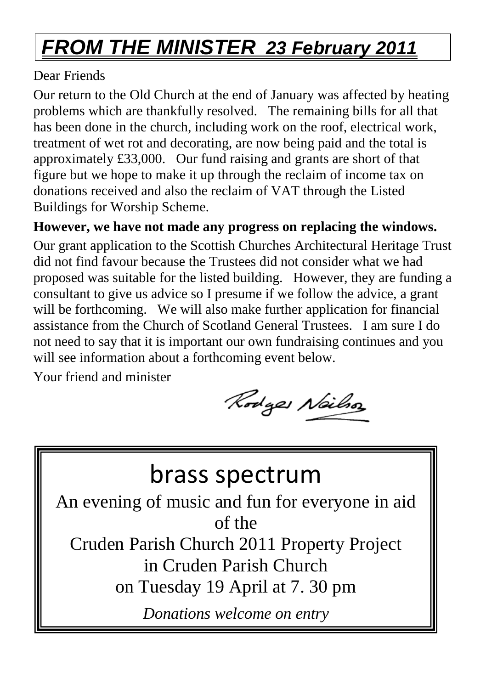### *FROM THE MINISTER 23 February 2011*

#### Dear Friends

Our return to the Old Church at the end of January was affected by heating problems which are thankfully resolved. The remaining bills for all that has been done in the church, including work on the roof, electrical work, treatment of wet rot and decorating, are now being paid and the total is approximately £33,000. Our fund raising and grants are short of that figure but we hope to make it up through the reclaim of income tax on donations received and also the reclaim of VAT through the Listed Buildings for Worship Scheme.

**However, we have not made any progress on replacing the windows.** 

Our grant application to the Scottish Churches Architectural Heritage Trust did not find favour because the Trustees did not consider what we had proposed was suitable for the listed building. However, they are funding a consultant to give us advice so I presume if we follow the advice, a grant will be forthcoming. We will also make further application for financial assistance from the Church of Scotland General Trustees. I am sure I do not need to say that it is important our own fundraising continues and you will see information about a forthcoming event below.

Your friend and minister

Rodges Neilso

### brass spectrum

An evening of music and fun for everyone in aid of the

Cruden Parish Church 2011 Property Project in Cruden Parish Church on Tuesday 19 April at 7. 30 pm

*Donations welcome on entry*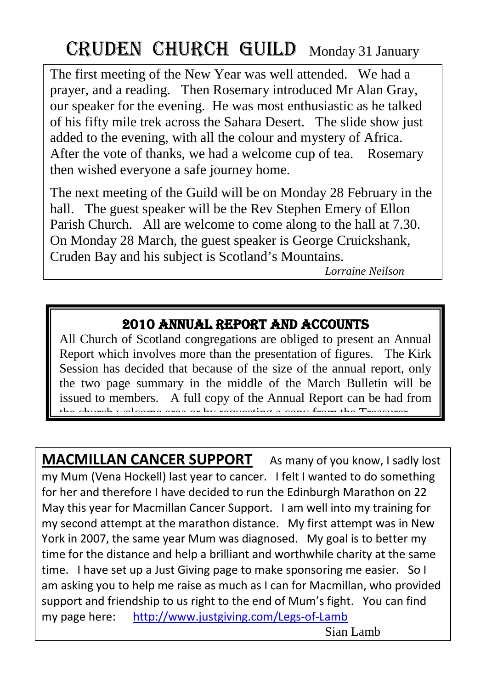### CRUDEN CHURCH GUILD Monday 31 January

The first meeting of the New Year was well attended. We had a prayer, and a reading. Then Rosemary introduced Mr Alan Gray, our speaker for the evening. He was most enthusiastic as he talked of his fifty mile trek across the Sahara Desert. The slide show just added to the evening, with all the colour and mystery of Africa. After the vote of thanks, we had a welcome cup of tea. Rosemary then wished everyone a safe journey home.

The next meeting of the Guild will be on Monday 28 February in the hall. The guest speaker will be the Rev Stephen Emery of Ellon Parish Church. All are welcome to come along to the hall at 7.30. On Monday 28 March, the guest speaker is George Cruickshank, Cruden Bay and his subject is Scotland's Mountains.

*Lorraine Neilson*

#### 2010 ANNUAL REPORT AND ACCOUNTS

All Church of Scotland congregations are obliged to present an Annual Report which involves more than the presentation of figures. The Kirk Session has decided that because of the size of the annual report, only the two page summary in the middle of the March Bulletin will be issued to members. A full copy of the Annual Report can be had from the church welcome area or by requesting a cony from the Tr

**MACMILLAN CANCER SUPPORT** As many of you know, I sadly lost my Mum (Vena Hockell) last year to cancer. I felt I wanted to do something for her and therefore I have decided to run the Edinburgh Marathon on 22 May this year for Macmillan Cancer Support. I am well into my training for my second attempt at the marathon distance. My first attempt was in New York in 2007, the same year Mum was diagnosed. My goal is to better my time for the distance and help a brilliant and worthwhile charity at the same time. I have set up a Just Giving page to make sponsoring me easier. So I am asking you to help me raise as much as I can for Macmillan, who provided support and friendship to us right to the end of Mum's fight. You can find my page here: http://www.justgiving.com/Legs-of-Lamb

Sian Lamb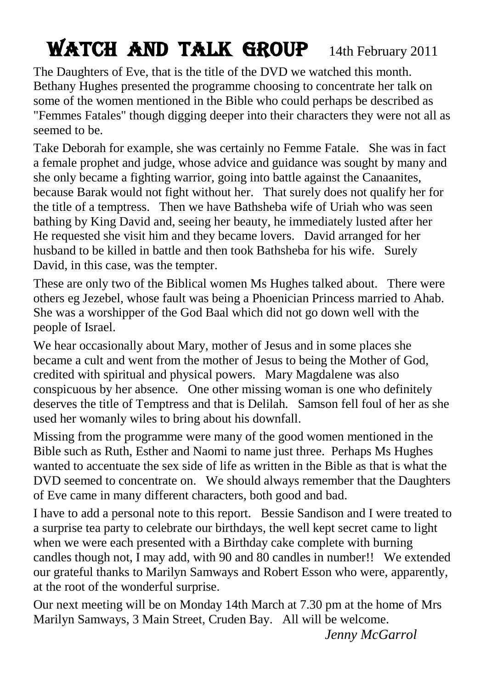### WATCH AND TALK GROUP 14th February 2011

The Daughters of Eve, that is the title of the DVD we watched this month. Bethany Hughes presented the programme choosing to concentrate her talk on some of the women mentioned in the Bible who could perhaps be described as "Femmes Fatales" though digging deeper into their characters they were not all as seemed to be.

Take Deborah for example, she was certainly no Femme Fatale. She was in fact a female prophet and judge, whose advice and guidance was sought by many and she only became a fighting warrior, going into battle against the Canaanites, because Barak would not fight without her. That surely does not qualify her for the title of a temptress. Then we have Bathsheba wife of Uriah who was seen bathing by King David and, seeing her beauty, he immediately lusted after her He requested she visit him and they became lovers. David arranged for her husband to be killed in battle and then took Bathsheba for his wife. Surely David, in this case, was the tempter.

These are only two of the Biblical women Ms Hughes talked about. There were others eg Jezebel, whose fault was being a Phoenician Princess married to Ahab. She was a worshipper of the God Baal which did not go down well with the people of Israel.

We hear occasionally about Mary, mother of Jesus and in some places she became a cult and went from the mother of Jesus to being the Mother of God, credited with spiritual and physical powers. Mary Magdalene was also conspicuous by her absence. One other missing woman is one who definitely deserves the title of Temptress and that is Delilah. Samson fell foul of her as she used her womanly wiles to bring about his downfall.

Missing from the programme were many of the good women mentioned in the Bible such as Ruth, Esther and Naomi to name just three. Perhaps Ms Hughes wanted to accentuate the sex side of life as written in the Bible as that is what the DVD seemed to concentrate on. We should always remember that the Daughters of Eve came in many different characters, both good and bad.

I have to add a personal note to this report. Bessie Sandison and I were treated to a surprise tea party to celebrate our birthdays, the well kept secret came to light when we were each presented with a Birthday cake complete with burning candles though not, I may add, with 90 and 80 candles in number!! We extended our grateful thanks to Marilyn Samways and Robert Esson who were, apparently, at the root of the wonderful surprise.

Our next meeting will be on Monday 14th March at 7.30 pm at the home of Mrs Marilyn Samways, 3 Main Street, Cruden Bay. All will be welcome.

*Jenny McGarrol*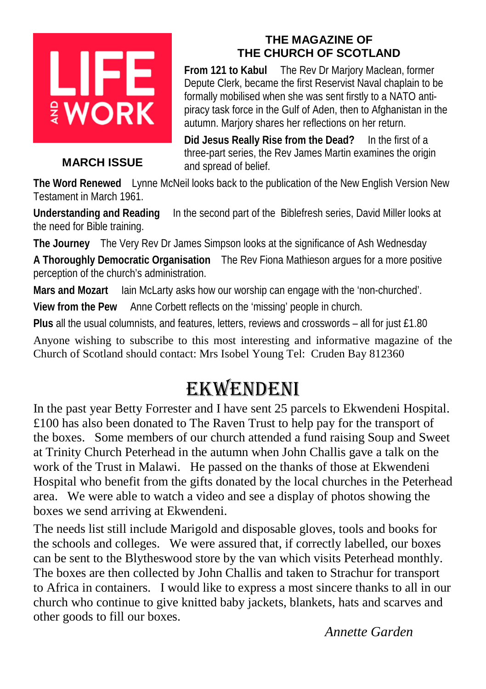# LIFE **WORK**

#### **MARCH ISSUE**

#### **THE MAGAZINE OF THE CHURCH OF SCOTLAND**

**From 121 to Kabul** The Rev Dr Marjory Maclean, former Depute Clerk, became the first Reservist Naval chaplain to be formally mobilised when she was sent firstly to a NATO antipiracy task force in the Gulf of Aden, then to Afghanistan in the autumn. Marjory shares her reflections on her return.

**Did Jesus Really Rise from the Dead?** In the first of a three-part series, the Rev James Martin examines the origin and spread of belief.

**The Word Renewed** Lynne McNeil looks back to the publication of the New English Version New Testament in March 1961.

**Understanding and Reading** In the second part of the Biblefresh series, David Miller looks at the need for Bible training.

**The Journey** The Very Rev Dr James Simpson looks at the significance of Ash Wednesday

**A Thoroughly Democratic Organisation** The Rev Fiona Mathieson argues for a more positive perception of the church's administration.

**Mars and Mozart** Iain McLarty asks how our worship can engage with the 'non-churched'.

**View from the Pew** Anne Corbett reflects on the 'missing' people in church.

**Plus** all the usual columnists, and features, letters, reviews and crosswords – all for just £1.80

Anyone wishing to subscribe to this most interesting and informative magazine of the Church of Scotland should contact: Mrs Isobel Young Tel: Cruden Bay 812360

### Ekwendeni

In the past year Betty Forrester and I have sent 25 parcels to Ekwendeni Hospital. £100 has also been donated to The Raven Trust to help pay for the transport of the boxes. Some members of our church attended a fund raising Soup and Sweet at Trinity Church Peterhead in the autumn when John Challis gave a talk on the work of the Trust in Malawi. He passed on the thanks of those at Ekwendeni Hospital who benefit from the gifts donated by the local churches in the Peterhead area. We were able to watch a video and see a display of photos showing the boxes we send arriving at Ekwendeni.

The needs list still include Marigold and disposable gloves, tools and books for the schools and colleges. We were assured that, if correctly labelled, our boxes can be sent to the Blytheswood store by the van which visits Peterhead monthly. The boxes are then collected by John Challis and taken to Strachur for transport to Africa in containers. I would like to express a most sincere thanks to all in our church who continue to give knitted baby jackets, blankets, hats and scarves and other goods to fill our boxes.

*Annette Garden*